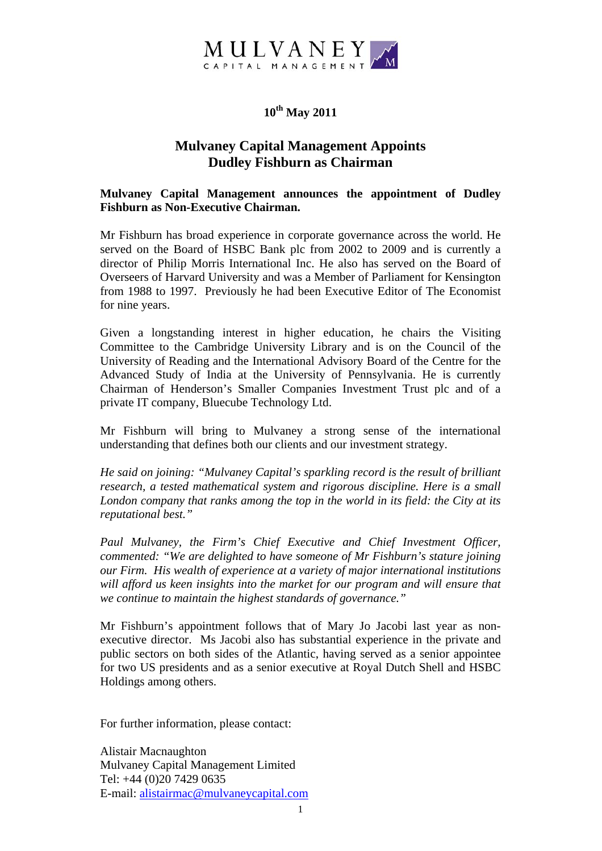

## **10th May 2011**

## **Mulvaney Capital Management Appoints Dudley Fishburn as Chairman**

**Mulvaney Capital Management announces the appointment of Dudley Fishburn as Non-Executive Chairman.** 

Mr Fishburn has broad experience in corporate governance across the world. He served on the Board of HSBC Bank plc from 2002 to 2009 and is currently a director of Philip Morris International Inc. He also has served on the Board of Overseers of Harvard University and was a Member of Parliament for Kensington from 1988 to 1997. Previously he had been Executive Editor of The Economist for nine years.

Given a longstanding interest in higher education, he chairs the Visiting Committee to the Cambridge University Library and is on the Council of the University of Reading and the International Advisory Board of the Centre for the Advanced Study of India at the University of Pennsylvania. He is currently Chairman of Henderson's Smaller Companies Investment Trust plc and of a private IT company, Bluecube Technology Ltd.

Mr Fishburn will bring to Mulvaney a strong sense of the international understanding that defines both our clients and our investment strategy.

*He said on joining: "Mulvaney Capital's sparkling record is the result of brilliant research, a tested mathematical system and rigorous discipline. Here is a small London company that ranks among the top in the world in its field: the City at its reputational best."* 

*Paul Mulvaney, the Firm's Chief Executive and Chief Investment Officer, commented: "We are delighted to have someone of Mr Fishburn's stature joining our Firm. His wealth of experience at a variety of major international institutions will afford us keen insights into the market for our program and will ensure that we continue to maintain the highest standards of governance."* 

Mr Fishburn's appointment follows that of Mary Jo Jacobi last year as nonexecutive director. Ms Jacobi also has substantial experience in the private and public sectors on both sides of the Atlantic, having served as a senior appointee for two US presidents and as a senior executive at Royal Dutch Shell and HSBC Holdings among others.

For further information, please contact:

Alistair Macnaughton Mulvaney Capital Management Limited Tel: +44 (0)20 7429 0635 E-mail: [alistairmac@mulvaneycapital.com](mailto:alistairmac@mulvaneycapital.com)